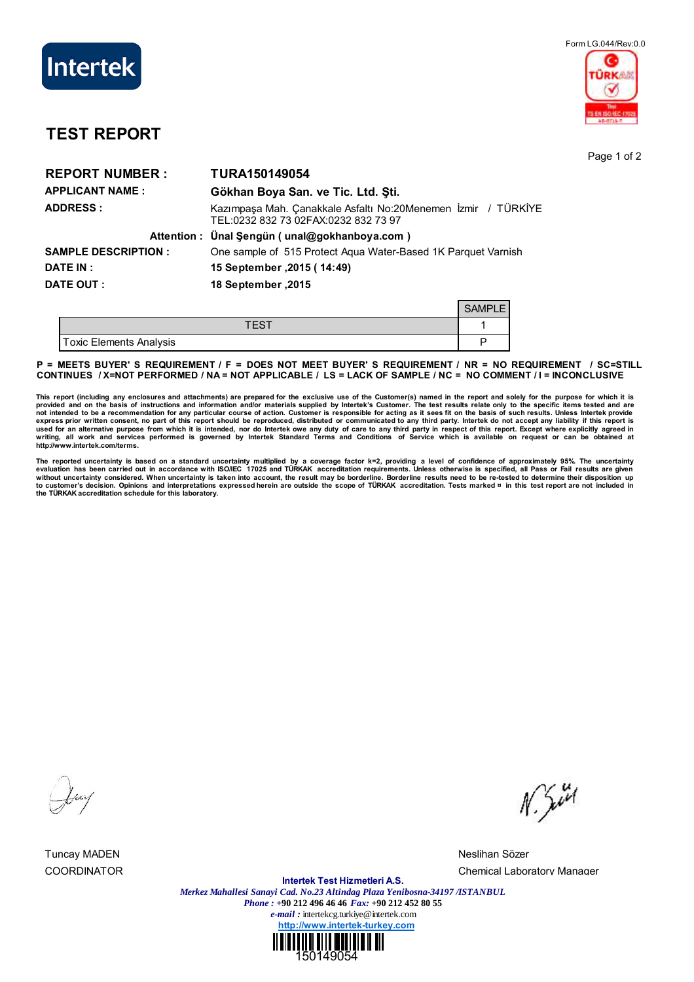



## **TEST REPORT**

Page 1 of 2

| <b>REPORT NUMBER:</b>      | <b>TURA150149054</b>                                                                                  |  |
|----------------------------|-------------------------------------------------------------------------------------------------------|--|
| <b>APPLICANT NAME:</b>     | Gökhan Boya San. ve Tic. Ltd. Sti.                                                                    |  |
| <b>ADDRESS:</b>            | Kazımpaşa Mah. Çanakkale Asfaltı No:20Menemen İzmir / TÜRKİYE<br>TEL:0232 832 73 02FAX:0232 832 73 97 |  |
|                            | Attention: Ünal Şengün (unal@gokhanboya.com)                                                          |  |
| <b>SAMPLE DESCRIPTION:</b> | One sample of 515 Protect Agua Water-Based 1K Parquet Varnish                                         |  |
| DATE IN :                  | 15 September .2015 (14:49)                                                                            |  |
| DATE OUT :                 | 18 September .2015                                                                                    |  |
|                            | <b>SAMPLE</b>                                                                                         |  |

| i oxic Elements Analysis |  |
|--------------------------|--|

**P = MEETS BUYER' S REQUIREMENT / F = DOES NOT MEET BUYER' S REQUIREMENT / NR = NO REQUIREMENT / SC=STILL CONTINUES / X=NOT PERFORMED / NA = NOT APPLICABLE / LS = LACK OF SAMPLE / NC = NO COMMENT / I = INCONCLUSIVE**

This report (including any enclosures and attachments) are prepared for the exclusive use of the Customer(s) named in the report and solely for the purpose for which it is<br>provided and on the basis of instructions and info **writing, all work and services performed is governed by Intertek Standard Terms and Conditions of Service which is available on request or can be obtained at http://www.intertek.com/terms.**

The reported uncertainty is based on a standard uncertainty multiplied by a coverage factor k=2, providing a level of confidence of approximately 95%. The uncertainty<br>evaluation has been carried out in accordance with ISO without uncertainty considered. When uncertainty is taken into account, the result may be borderline. Borderline results need to be re-tested to determine their disposition up<br>to customer's decision. Opinions and interpret

Tuncay MADEN Neslihan Sözer

 $N.544$ 

COORDINATOR Chemical Laboratory Manager

**Intertek Test Hizmetleri A.S.** *Merkez Mahallesi Sanayi Cad. No.23 Altindag Plaza Yenibosna-34197 /ISTANBUL Phone : +***90 212 496 46 46** *Fax:* **+90 212 452 80 55** *e-mail :* intertekcg.turkiye@intertek.com **http://www.intertek-turkey.com**